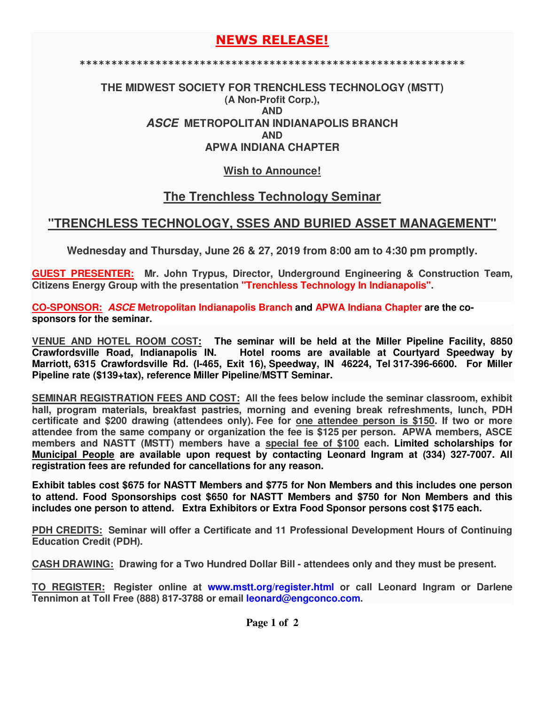# **NEWS RELEASE!**

**\*\*\*\*\*\*\*\*\*\*\*\*\*\*\*\*\*\*\*\*\*\*\*\*\*\*\*\*\*\*\*\*\*\*\*\*\*\*\*\*\*\*\*\*\*\*\*\*\*\*\*\*\*\*\*\*\*\*\*\*\***

### **THE MIDWEST SOCIETY FOR TRENCHLESS TECHNOLOGY (MSTT) (A Non-Profit Corp.), AND ASCE METROPOLITAN INDIANAPOLIS BRANCH AND APWA INDIANA CHAPTER**

### **Wish to Announce!**

# **The Trenchless Technology Seminar**

# **"TRENCHLESS TECHNOLOGY, SSES AND BURIED ASSET MANAGEMENT"**

**Wednesday and Thursday, June 26 & 27, 2019 from 8:00 am to 4:30 pm promptly.** 

**GUEST PRESENTER: Mr. John Trypus, Director, Underground Engineering & Construction Team, Citizens Energy Group with the presentation "Trenchless Technology In Indianapolis".**

**CO-SPONSOR: ASCE Metropolitan Indianapolis Branch and APWA Indiana Chapter are the cosponsors for the seminar.**

**VENUE AND HOTEL ROOM COST: The seminar will be held at the Miller Pipeline Facility, 8850**  Hotel rooms are available at Courtyard Speedway by **Marriott, 6315 Crawfordsville Rd. (I-465, Exit 16), Speedway, IN 46224, Tel 317-396-6600. For Miller Pipeline rate (\$139+tax), reference Miller Pipeline/MSTT Seminar.** 

**SEMINAR REGISTRATION FEES AND COST: All the fees below include the seminar classroom, exhibit hall, program materials, breakfast pastries, morning and evening break refreshments, lunch, PDH certificate and \$200 drawing (attendees only). Fee for one attendee person is \$150. If two or more attendee from the same company or organization the fee is \$125 per person. APWA members, ASCE members and NASTT (MSTT) members have a special fee of \$100 each. Limited scholarships for Municipal People are available upon request by contacting Leonard Ingram at (334) 327-7007. All registration fees are refunded for cancellations for any reason.**

**Exhibit tables cost \$675 for NASTT Members and \$775 for Non Members and this includes one person to attend. Food Sponsorships cost \$650 for NASTT Members and \$750 for Non Members and this includes one person to attend. Extra Exhibitors or Extra Food Sponsor persons cost \$175 each.** 

**PDH CREDITS: Seminar will offer a Certificate and 11 Professional Development Hours of Continuing Education Credit (PDH).** 

**CASH DRAWING: Drawing for a Two Hundred Dollar Bill - attendees only and they must be present.** 

**TO REGISTER: Register online at www.mstt.org/register.html or call Leonard Ingram or Darlene Tennimon at Toll Free (888) 817-3788 or email leonard@engconco.com.**